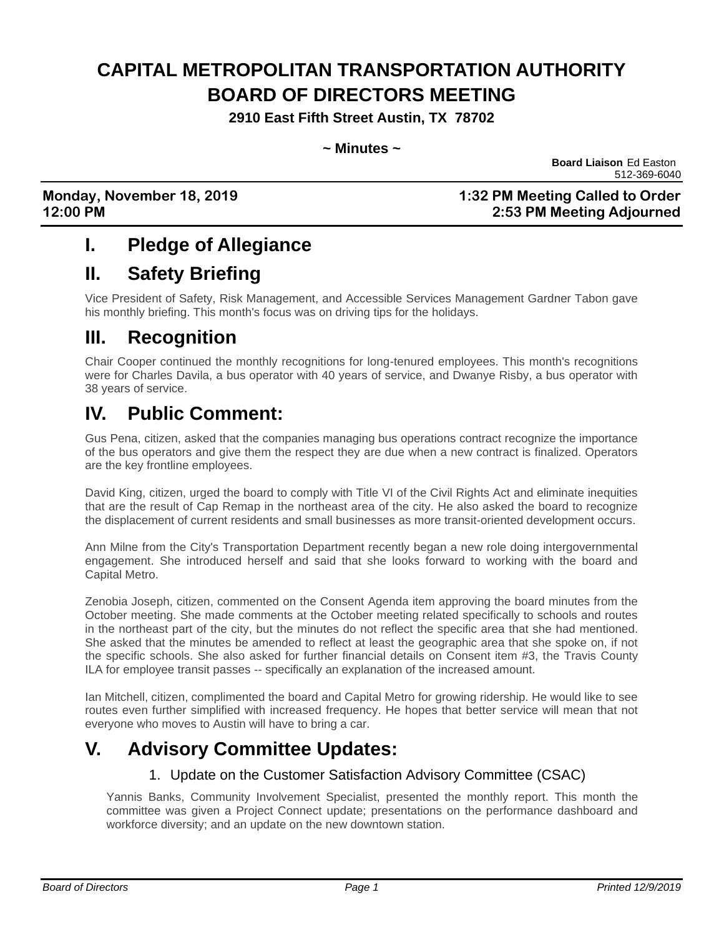# **CAPITAL METROPOLITAN TRANSPORTATION AUTHORITY BOARD OF DIRECTORS MEETING**

**2910 East Fifth Street Austin, TX 78702**

**~ Minutes ~**

**Board Liaison** Ed Easton 512-369-6040

**Monday, November 18, 2019 1:32 PM Meeting Called to Order 12:00 PM 2:53 PM Meeting Adjourned**

## **I. Pledge of Allegiance**

## **II. Safety Briefing**

Vice President of Safety, Risk Management, and Accessible Services Management Gardner Tabon gave his monthly briefing. This month's focus was on driving tips for the holidays.

## **III. Recognition**

Chair Cooper continued the monthly recognitions for long-tenured employees. This month's recognitions were for Charles Davila, a bus operator with 40 years of service, and Dwanye Risby, a bus operator with 38 years of service.

## **IV. Public Comment:**

Gus Pena, citizen, asked that the companies managing bus operations contract recognize the importance of the bus operators and give them the respect they are due when a new contract is finalized. Operators are the key frontline employees.

David King, citizen, urged the board to comply with Title VI of the Civil Rights Act and eliminate inequities that are the result of Cap Remap in the northeast area of the city. He also asked the board to recognize the displacement of current residents and small businesses as more transit-oriented development occurs.

Ann Milne from the City's Transportation Department recently began a new role doing intergovernmental engagement. She introduced herself and said that she looks forward to working with the board and Capital Metro.

Zenobia Joseph, citizen, commented on the Consent Agenda item approving the board minutes from the October meeting. She made comments at the October meeting related specifically to schools and routes in the northeast part of the city, but the minutes do not reflect the specific area that she had mentioned. She asked that the minutes be amended to reflect at least the geographic area that she spoke on, if not the specific schools. She also asked for further financial details on Consent item #3, the Travis County ILA for employee transit passes -- specifically an explanation of the increased amount.

Ian Mitchell, citizen, complimented the board and Capital Metro for growing ridership. He would like to see routes even further simplified with increased frequency. He hopes that better service will mean that not everyone who moves to Austin will have to bring a car.

## **V. Advisory Committee Updates:**

### 1. Update on the Customer Satisfaction Advisory Committee (CSAC)

Yannis Banks, Community Involvement Specialist, presented the monthly report. This month the committee was given a Project Connect update; presentations on the performance dashboard and workforce diversity; and an update on the new downtown station.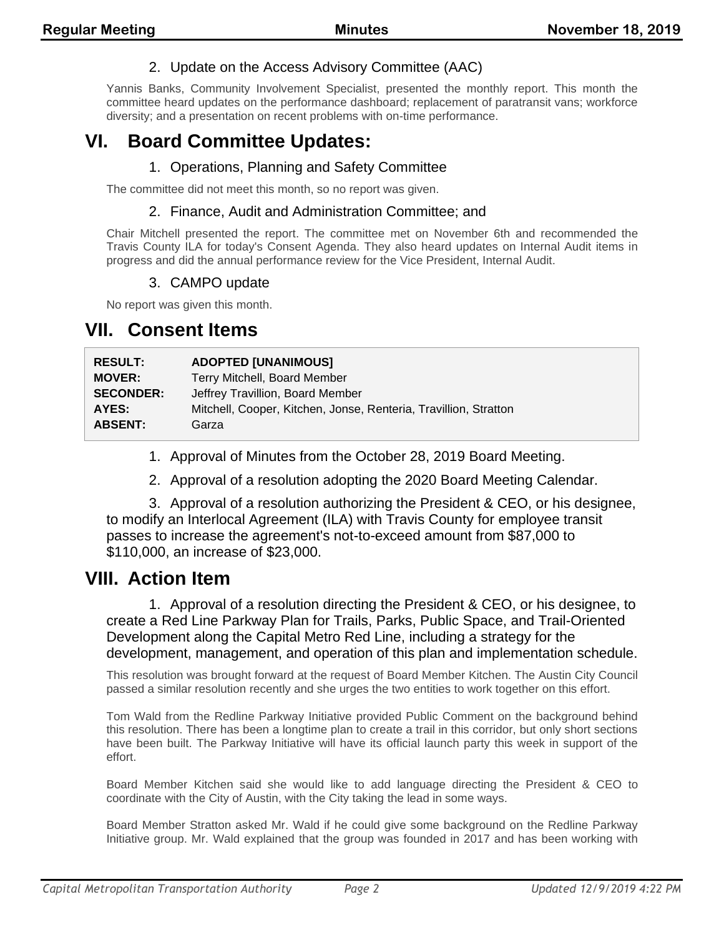### 2. Update on the Access Advisory Committee (AAC)

Yannis Banks, Community Involvement Specialist, presented the monthly report. This month the committee heard updates on the performance dashboard; replacement of paratransit vans; workforce diversity; and a presentation on recent problems with on-time performance.

## **VI. Board Committee Updates:**

#### 1. Operations, Planning and Safety Committee

The committee did not meet this month, so no report was given.

#### 2. Finance, Audit and Administration Committee; and

Chair Mitchell presented the report. The committee met on November 6th and recommended the Travis County ILA for today's Consent Agenda. They also heard updates on Internal Audit items in progress and did the annual performance review for the Vice President, Internal Audit.

#### 3. CAMPO update

No report was given this month.

### **VII. Consent Items**

| <b>RESULT:</b>   | <b>ADOPTED [UNANIMOUS]</b>                                       |
|------------------|------------------------------------------------------------------|
| <b>MOVER:</b>    | Terry Mitchell, Board Member                                     |
| <b>SECONDER:</b> | Jeffrey Travillion, Board Member                                 |
| AYES:            | Mitchell, Cooper, Kitchen, Jonse, Renteria, Travillion, Stratton |
| <b>ABSENT:</b>   | Garza                                                            |
|                  |                                                                  |

- 1. Approval of Minutes from the October 28, 2019 Board Meeting.
- 2. Approval of a resolution adopting the 2020 Board Meeting Calendar.

3. Approval of a resolution authorizing the President & CEO, or his designee, to modify an Interlocal Agreement (ILA) with Travis County for employee transit passes to increase the agreement's not-to-exceed amount from \$87,000 to \$110,000, an increase of \$23,000.

### **VIII. Action Item**

1. Approval of a resolution directing the President & CEO, or his designee, to create a Red Line Parkway Plan for Trails, Parks, Public Space, and Trail-Oriented Development along the Capital Metro Red Line, including a strategy for the development, management, and operation of this plan and implementation schedule.

This resolution was brought forward at the request of Board Member Kitchen. The Austin City Council passed a similar resolution recently and she urges the two entities to work together on this effort.

Tom Wald from the Redline Parkway Initiative provided Public Comment on the background behind this resolution. There has been a longtime plan to create a trail in this corridor, but only short sections have been built. The Parkway Initiative will have its official launch party this week in support of the effort.

Board Member Kitchen said she would like to add language directing the President & CEO to coordinate with the City of Austin, with the City taking the lead in some ways.

Board Member Stratton asked Mr. Wald if he could give some background on the Redline Parkway Initiative group. Mr. Wald explained that the group was founded in 2017 and has been working with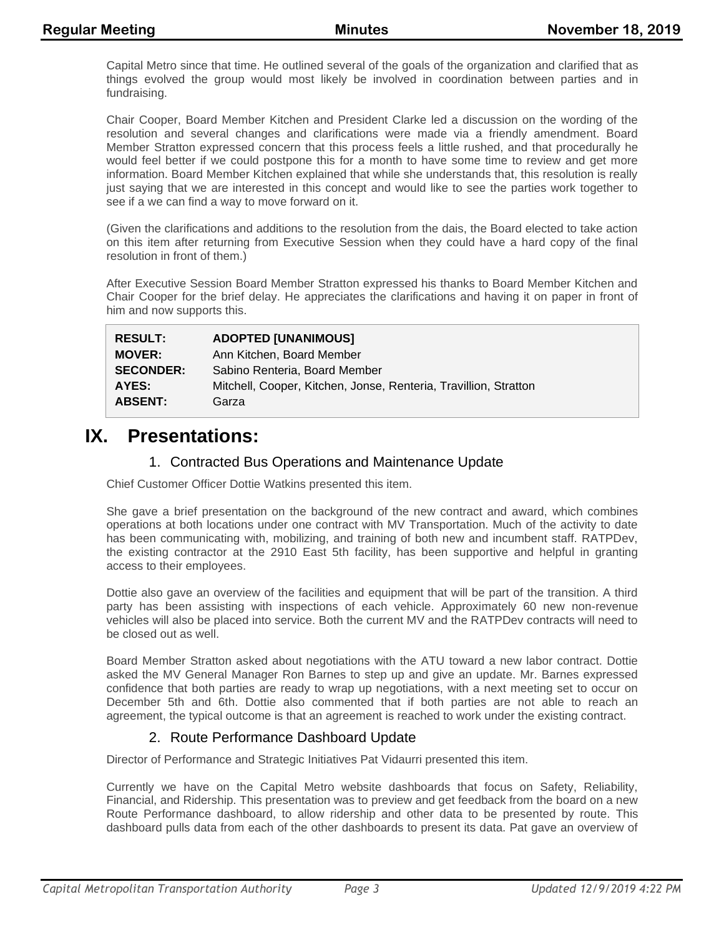Capital Metro since that time. He outlined several of the goals of the organization and clarified that as things evolved the group would most likely be involved in coordination between parties and in fundraising.

Chair Cooper, Board Member Kitchen and President Clarke led a discussion on the wording of the resolution and several changes and clarifications were made via a friendly amendment. Board Member Stratton expressed concern that this process feels a little rushed, and that procedurally he would feel better if we could postpone this for a month to have some time to review and get more information. Board Member Kitchen explained that while she understands that, this resolution is really just saying that we are interested in this concept and would like to see the parties work together to see if a we can find a way to move forward on it.

(Given the clarifications and additions to the resolution from the dais, the Board elected to take action on this item after returning from Executive Session when they could have a hard copy of the final resolution in front of them.)

After Executive Session Board Member Stratton expressed his thanks to Board Member Kitchen and Chair Cooper for the brief delay. He appreciates the clarifications and having it on paper in front of him and now supports this.

| <b>RESULT:</b>   | <b>ADOPTED [UNANIMOUS]</b>                                       |
|------------------|------------------------------------------------------------------|
| <b>MOVER:</b>    | Ann Kitchen, Board Member                                        |
| <b>SECONDER:</b> | Sabino Renteria, Board Member                                    |
| AYES:            | Mitchell, Cooper, Kitchen, Jonse, Renteria, Travillion, Stratton |
| <b>ABSENT:</b>   | Garza                                                            |

### **IX. Presentations:**

### 1. Contracted Bus Operations and Maintenance Update

Chief Customer Officer Dottie Watkins presented this item.

She gave a brief presentation on the background of the new contract and award, which combines operations at both locations under one contract with MV Transportation. Much of the activity to date has been communicating with, mobilizing, and training of both new and incumbent staff. RATPDev, the existing contractor at the 2910 East 5th facility, has been supportive and helpful in granting access to their employees.

Dottie also gave an overview of the facilities and equipment that will be part of the transition. A third party has been assisting with inspections of each vehicle. Approximately 60 new non-revenue vehicles will also be placed into service. Both the current MV and the RATPDev contracts will need to be closed out as well.

Board Member Stratton asked about negotiations with the ATU toward a new labor contract. Dottie asked the MV General Manager Ron Barnes to step up and give an update. Mr. Barnes expressed confidence that both parties are ready to wrap up negotiations, with a next meeting set to occur on December 5th and 6th. Dottie also commented that if both parties are not able to reach an agreement, the typical outcome is that an agreement is reached to work under the existing contract.

### 2. Route Performance Dashboard Update

Director of Performance and Strategic Initiatives Pat Vidaurri presented this item.

Currently we have on the Capital Metro website dashboards that focus on Safety, Reliability, Financial, and Ridership. This presentation was to preview and get feedback from the board on a new Route Performance dashboard, to allow ridership and other data to be presented by route. This dashboard pulls data from each of the other dashboards to present its data. Pat gave an overview of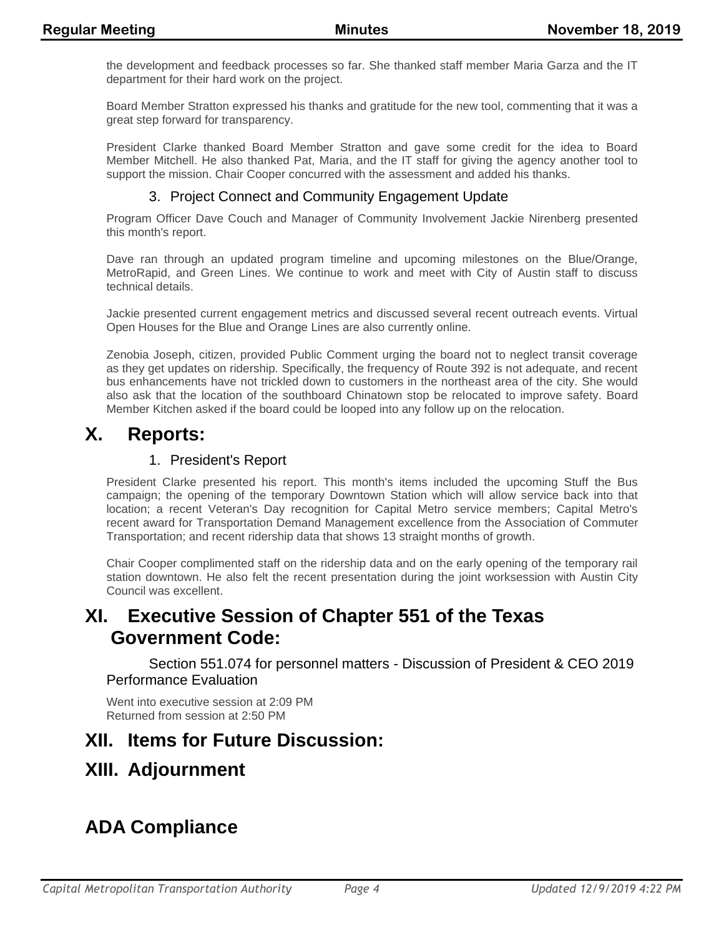the development and feedback processes so far. She thanked staff member Maria Garza and the IT department for their hard work on the project.

Board Member Stratton expressed his thanks and gratitude for the new tool, commenting that it was a great step forward for transparency.

President Clarke thanked Board Member Stratton and gave some credit for the idea to Board Member Mitchell. He also thanked Pat, Maria, and the IT staff for giving the agency another tool to support the mission. Chair Cooper concurred with the assessment and added his thanks.

### 3. Project Connect and Community Engagement Update

Program Officer Dave Couch and Manager of Community Involvement Jackie Nirenberg presented this month's report.

Dave ran through an updated program timeline and upcoming milestones on the Blue/Orange, MetroRapid, and Green Lines. We continue to work and meet with City of Austin staff to discuss technical details.

Jackie presented current engagement metrics and discussed several recent outreach events. Virtual Open Houses for the Blue and Orange Lines are also currently online.

Zenobia Joseph, citizen, provided Public Comment urging the board not to neglect transit coverage as they get updates on ridership. Specifically, the frequency of Route 392 is not adequate, and recent bus enhancements have not trickled down to customers in the northeast area of the city. She would also ask that the location of the southboard Chinatown stop be relocated to improve safety. Board Member Kitchen asked if the board could be looped into any follow up on the relocation.

### **X. Reports:**

#### 1. President's Report

President Clarke presented his report. This month's items included the upcoming Stuff the Bus campaign; the opening of the temporary Downtown Station which will allow service back into that location; a recent Veteran's Day recognition for Capital Metro service members; Capital Metro's recent award for Transportation Demand Management excellence from the Association of Commuter Transportation; and recent ridership data that shows 13 straight months of growth.

Chair Cooper complimented staff on the ridership data and on the early opening of the temporary rail station downtown. He also felt the recent presentation during the joint worksession with Austin City Council was excellent.

## **XI. Executive Session of Chapter 551 of the Texas Government Code:**

Section 551.074 for personnel matters - Discussion of President & CEO 2019 Performance Evaluation

Went into executive session at 2:09 PM Returned from session at 2:50 PM

### **XII. Items for Future Discussion:**

## **XIII. Adjournment**

## **ADA Compliance**